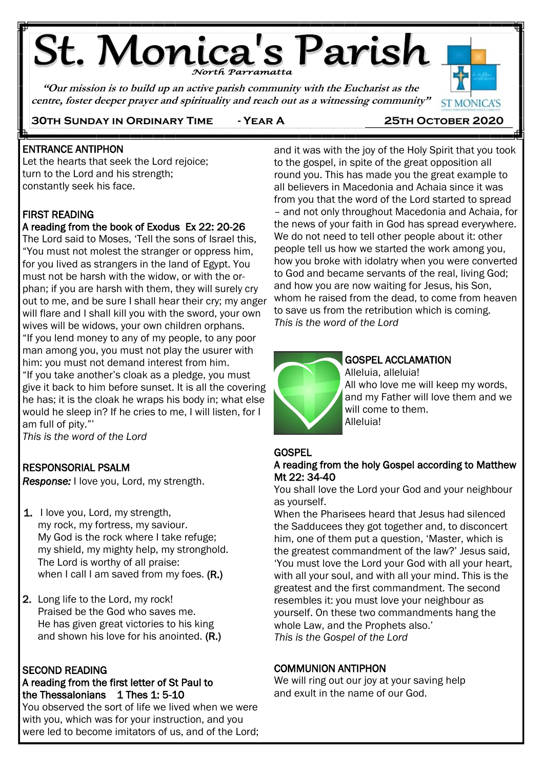# **St. Monica's Parish**

**"Our mission is to build up an active parish community with the Eucharist as the centre, foster deeper prayer and spirituality and reach out as a witnessing community"**



## **30th Sunday in Ordinary Time - Year A 25th October 2020**

#### j ENTRANCE ANTIPHON

Let the hearts that seek the Lord rejoice; turn to the Lord and his strength; constantly seek his face.

## FIRST READING

Ē

## A reading from the book of Exodus Ex 22: 20-26

The Lord said to Moses, 'Tell the sons of Israel this, "You must not molest the stranger or oppress him, for you lived as strangers in the land of Egypt. You must not be harsh with the widow, or with the orphan; if you are harsh with them, they will surely cry out to me, and be sure I shall hear their cry; my anger will flare and I shall kill you with the sword, your own wives will be widows, your own children orphans. "If you lend money to any of my people, to any poor man among you, you must not play the usurer with him: you must not demand interest from him. "If you take another's cloak as a pledge, you must give it back to him before sunset. It is all the covering he has; it is the cloak he wraps his body in; what else would he sleep in? If he cries to me, I will listen, for I am full of pity."'

*This is the word of the Lord* j

## RESPONSORIAL PSALM

*Response:* I love you, Lord, my strength.

- 1. I love you, Lord, my strength, my rock, my fortress, my saviour. My God is the rock where I take refuge; my shield, my mighty help, my stronghold. The Lord is worthy of all praise: when I call I am saved from my foes. (R.)
- 2. Long life to the Lord, my rock! Praised be the God who saves me. He has given great victories to his king and shown his love for his anointed. (R.)

## SECOND READING

## A reading from the first letter of St Paul to the Thessalonians  $1$  Thes 1: 5-10

You observed the sort of life we lived when we were with you, which was for your instruction, and you were led to become imitators of us, and of the Lord; and it was with the joy of the Holy Spirit that you took to the gospel, in spite of the great opposition all round you. This has made you the great example to all believers in Macedonia and Achaia since it was from you that the word of the Lord started to spread – and not only throughout Macedonia and Achaia, for the news of your faith in God has spread everywhere. We do not need to tell other people about it: other people tell us how we started the work among you, how you broke with idolatry when you were converted to God and became servants of the real, living God; and how you are now waiting for Jesus, his Son, whom he raised from the dead, to come from heaven to save us from the retribution which is coming. *This is the word of the Lord*



## GOSPEL ACCLAMATION

Alleluia, alleluia! All who love me will keep my words, and my Father will love them and we will come to them. Alleluia!

## **GOSPEL**

## A reading from the holy Gospel according to Matthew Mt 22: 34-40

You shall love the Lord your God and your neighbour as yourself.

When the Pharisees heard that Jesus had silenced the Sadducees they got together and, to disconcert him, one of them put a question, 'Master, which is the greatest commandment of the law?' Jesus said, 'You must love the Lord your God with all your heart, with all your soul, and with all your mind. This is the greatest and the first commandment. The second resembles it: you must love your neighbour as yourself. On these two commandments hang the whole Law, and the Prophets also.' *This is the Gospel of the Lord*

## COMMUNION ANTIPHON

We will ring out our joy at your saving help and exult in the name of our God.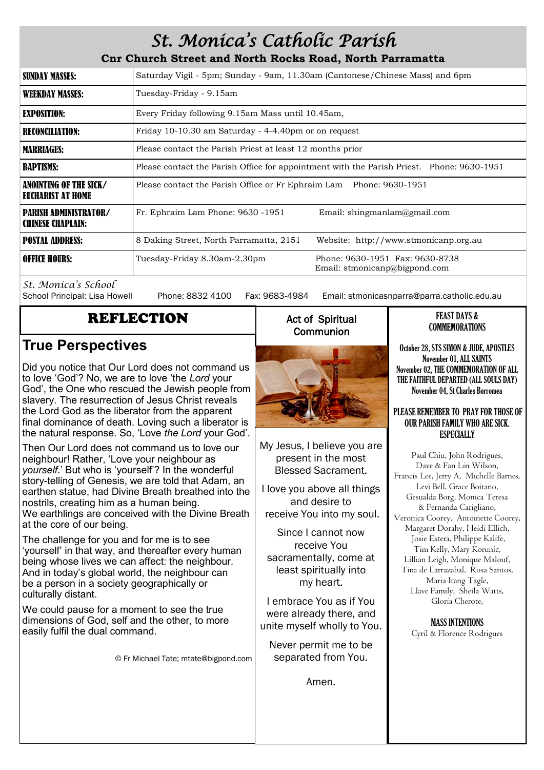## *St. Monica's Catholic Parish*

**Cnr Church Street and North Rocks Road, North Parramatta**

| <b>SUNDAY MASSES:</b>                                    | Saturday Vigil - 5pm; Sunday - 9am, 11.30am (Cantonese/Chinese Mass) and 6pm                     |
|----------------------------------------------------------|--------------------------------------------------------------------------------------------------|
| <b>WEEKDAY MASSES:</b>                                   | Tuesday-Friday - 9.15am                                                                          |
| <b>EXPOSITION:</b>                                       | Every Friday following 9.15am Mass until 10.45am,                                                |
| <b>RECONCILIATION:</b>                                   | Friday 10-10.30 am Saturday - 4-4.40pm or on request                                             |
| <b>MARRIAGES:</b>                                        | Please contact the Parish Priest at least 12 months prior                                        |
| <b>BAPTISMS:</b>                                         | Please contact the Parish Office for appointment with the Parish Priest. Phone: 9630-1951        |
| ANOINTING OF THE SICK/<br>EUCHARIST AT HOME              | Please contact the Parish Office or Fr Ephraim Lam Phone: 9630-1951                              |
| <b>PARISH ADMINISTRATOR/</b><br><b>CHINESE CHAPLAIN:</b> | Fr. Ephraim Lam Phone: 9630 -1951<br>Email: shingmanlam@gmail.com                                |
| <b>POSTAL ADDRESS:</b>                                   | 8 Daking Street, North Parramatta, 2151<br>Website: http://www.stmonicanp.org.au                 |
| <b>OFFICE HOURS:</b>                                     | Phone: 9630-1951 Fax: 9630-8738<br>Tuesday-Friday 8.30am-2.30pm<br>Email: stmonicanp@bigpond.com |

*St. Monica's School*

Phone: 8832 4100 Fax: 9683-4984 Email: stmonicasnparra@parra.catholic.edu.au

## REFLECTION

## **True Perspectives**

Did you notice that Our Lord does not command us to love 'God'? No, we are to love 'the *Lord* your God', the One who rescued the Jewish people from slavery. The resurrection of Jesus Christ reveals the Lord God as the liberator from the apparent final dominance of death. Loving such a liberator is the natural response. So, 'Love *the Lord* your God'.

Then Our Lord does not command us to love our neighbour! Rather, 'Love your neighbour as *yourself*.' But who is 'yourself'? In the wonderful story-telling of Genesis, we are told that Adam, an earthen statue, had Divine Breath breathed into the nostrils, creating him as a human being. We earthlings are conceived with the Divine Breath at the core of our being.

The challenge for you and for me is to see 'yourself' in that way, and thereafter every human being whose lives we can affect: the neighbour. And in today's global world, the neighbour can be a person in a society geographically or culturally distant.

We could pause for a moment to see the true dimensions of God, self and the other, to more easily fulfil the dual command.

© Fr Michael Tate; mtate@bigpond.com

## Act of Spiritual **Communion**



My Jesus, I believe you are present in the most Blessed Sacrament.

I love you above all things and desire to receive You into my soul.

Since I cannot now receive You sacramentally, come at least spiritually into my heart.

I embrace You as if You were already there, and unite myself wholly to You.

Never permit me to be separated from You.

Amen.

#### FEAST DAYS & COMMEMORATIONS

October 28, STS SIMON & JUDE, APOSTLES November 01, ALL SAINTS November 02, THE COMMEMORATION OF ALL THE FAITHFUL DEPARTED (ALL SOULS DAY) November 04, St Charles Borromea

#### PLEASE REMEMBER TO PRAY FOR THOSE OF OUR PARISH FAMILY WHO ARE SICK. **ESPECIALLY**

Paul Chiu, John Rodrigues, Dave & Fan Lin Wilson, Francis Lee, Jerry A, Michelle Barnes, Levi Bell, Grace Boitano, Gesualda Borg, Monica Teresa & Fernanda Carigliano, Veronica Coorey. Antoinette Coorey, Margaret Dorahy, Heidi Ellich, Josie Estera, Philippe Kalife, Tim Kelly, Mary Korunic, Lillian Leigh, Monique Malouf, Tina de Larrazabal, Rosa Santos, Maria Itang Tagle, Llave Family, Sheila Watts, Gloria Cherote,

> MASS INTENTIONS Cyril & Florence Rodrigues